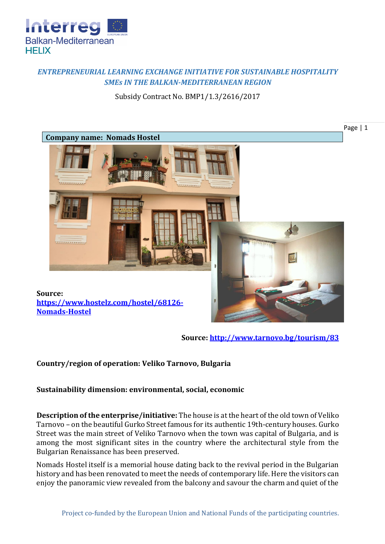

## *ENTREPRENEURIAL LEARNING EXCHANGE INITIATIVE FOR SUSTAINABLE HOSPITALITY SMEs IN THE BALKAN-MEDITERRANEAN REGION*

Subsidy Contract No. BMP1/1.3/2616/2017



**Source:<http://www.tarnovo.bg/tourism/83>**

## **Country/region of operation: Veliko Tarnovo, Bulgaria**

**Sustainability dimension: environmental, social, economic**

**Description of the enterprise/initiative:** The house is at the heart of the old town of Veliko Tarnovo – on the beautiful Gurko Street famous for its authentic 19th-century houses. Gurko Street was the main street of Veliko Tarnovo when the town was capital of Bulgaria, and is among the most significant sites in the country where the architectural style from the Bulgarian Renaissance has been preserved.

Nomads Hostel itself is a memorial house dating back to the revival period in the Bulgarian history and has been renovated to meet the needs of contemporary life. Here the visitors can enjoy the panoramic view revealed from the balcony and savour the charm and quiet of the